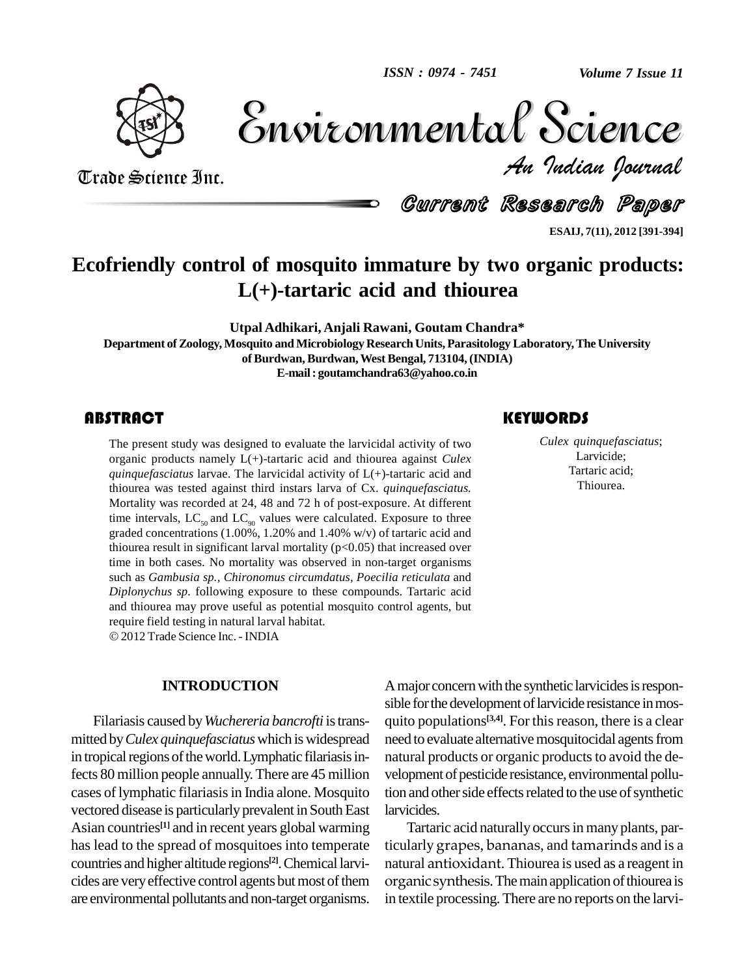

Volume 7 Issue 11 *Indian Journal* Volume 7 Issue 11

Trade Science Inc. Trade Science Inc.

Current Research Paper

**ESAIJ, 7(11), 2012 [391-394]**

# **Ecofriendly control of mosquito immature by two organic products: L(+)-tartaric acid and thiourea**

**Utpal Adhikari, Anjali Rawani, Goutam Chandra\***

**Department ofZoology, Mosquito andMicrobiology Research Units, Parasitology Laboratory,The University ofBurdwan,Burdwan,West Bengal, 713104,(INDIA) E-mail: [goutamchandra63@yahoo.co.in](mailto:goutamchandra63@yahoo.co.in)**

The present study was dorganic products namel<br>quinquefasciatus larvae. The present study was designed to evaluate the larvicidal activity of two organic products namely L(+)-tartaric acid and thiourea against *Culex quinquefasciatus* larvae. The larvicidal activity of L(+)-tartaric acid and thiourea was tested against third instars larva of Cx. *quinquefasciatus.* Mortality was recorded at 24, 48 and 72 h of post-exposure. At different time intervals,  $LC_{\rm so}$  and  $LC_{\rm oo}$  values were calculated. Exposure to three graded concentrations (1.00%, 1.20% and 1.40% w/v) of tartaric acid and thiourea result in significant larval mortality  $(p<0.05)$  that increased over time in both cases. No mortality was observed in non-target organisms such as *Gambusia sp., Chironomus circumdatus, Poecilia reticulata* and *Diplonychus sp.* following exposure to these compounds. Tartaric acid and thiourea may prove useful as potential mosquito control agents, but require field testing in natural larval habitat. 2012 Trade Science Inc. - INDIA

#### **INTRODUCTION**

Filariasis caused by*Wuchereria bancrofti* istrans mitted by*Culex quinquefasciatus*which iswidespread in tropical regions of the world. Lymphatic filariasis infects 80million people annually.There are 45 million cases of lymphatic filariasis in India alone. Mosquito vectored disease is particularly prevalent in South East Asian countries<sup>[1]</sup> and in recent years global warming Tar has lead to the spread of mosquitoes into temperate countries and higher altitude regions **[2]**.Chemical larvi cides are very effective control agents but most of them are environmental pollutants and non-target organisms.

A major concern with the synthetic larvicides is responsible for the development of larvicide resistance in mosquito populations **[3,4]**. For thisreason, there is a clear need to evaluate alternative mosquitocidal agents from natural products or organic products to avoid the development of pesticide resistance, environmental pollution and other side effects related to the use of synthetic larvicides.

Tartaric acid naturally occurs in many plants, particularly grapes, bananas, and tamarinds and is a grapes, bananas, and tamarinds and is a<br>ntioxidant. Thiourea is used as a reagent in<br>synthesis. The main application of thiourea is<br>processing. There are no reports on the larvinatural antioxidant. Thiourea is used as a reagent in antioxidant. Thiourea is used as a reagent in<br>c synthesis. The main application of thiourea is<br>e processing. There are no reports on the larviorganic synthesis. The main application of thiourea is in textile processing.There are no reports on the larvi-

## **KEYWORDS**

Culex quinquefascia<br>
Larvicide;<br>
Tartaric acid; *Culex quinquefasciatus*; Larvicide; Tartaric acid; Thiourea.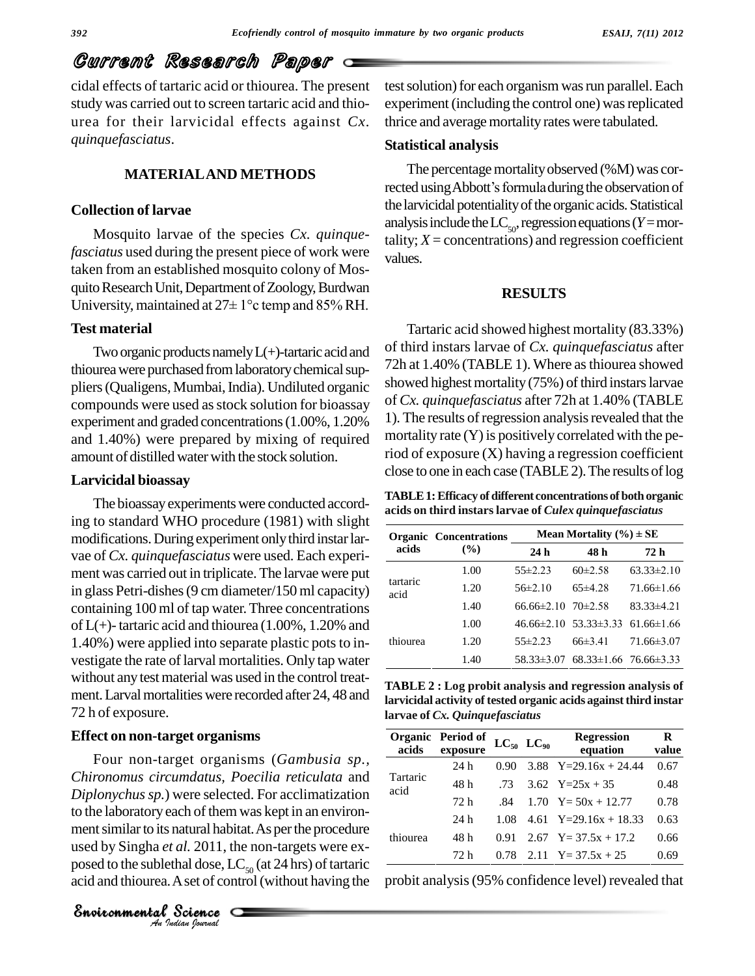# Current Research Paper

cidal effects of tartaric acid or thiourea. The present study was carried out to screen tartaric acid and thio urea for their larvicidal effects against *Cx. quinquefasciatus*.

#### **MATERIALAND METHODS**

### **Collection of larvae**

Mosquito larvae of the species *Cx. quinquefasciatus* used during the present piece of work were taken from an established mosquito colony of Mos quito Research Unit, Department of Zoology, Burdwan taken from an established mosquito colony of Mosquito Research Unit, Department of Zoology, Burdwan<br>University, maintained at 27± 1°c temp and 85% RH.

#### **Test material**

Two organic products namely  $L(+)$ -tartaric acid and thiourea were purchased from laboratory chemical suppliers (Qualigens, Mumbai, India). Undiluted organic compounds were used asstock solution for bioassay experiment and graded concentrations(1.00%, 1.20% and 1.40%) were prepared by mixing of required amount of distilled water with the stock solution.

#### **Larvicidal bioassay**

The bioassay experiments were conducted according to standard WHO procedure (1981) with slight modifications.During experiment onlythird instarlar vae of *Cx. quinquefasciatus* were used. Each experi ment was carried out in triplicate. The larvae were put in glass Petri-dishes(9 cm diameter/150 ml capacity) containing 100 ml of tap water.Three concentrations of  $L(+)$ -tartaric acid and thiourea (1.00%, 1.20% and 1.40%) were applied into separate plastic pots to investigate the rate of larval mortalities. Only tap water without any test material was used in the control treatment. Larval mortalities were recorded after 24, 48 and 72 h of exposure.

#### **Effect on non-target organisms**

to the laboratory each of them was kept in an environ-**Indian**<br> **Indian**<br> *Indian*<br> **I** *Indian*<br> **I** *Indian*<br> *Indian Section*<br> **C**<br> *Indian Section* Four non-target organisms (*Gambusia sp., Chironomus circumdatus, Poecilia reticulata* and *Diplonychussp.*) were selected. For acclimatization ment similar to its natural habitat. As per the procedure used by Singha *et al.* 2011, the non-targets were ex posed to the sublethal dose,  $LC_{50}$  (at 24 hrs) of tartaric  $\qquad \qquad$ acid and thiourea.Aset of control(without having the

test solution) for each organism was run parallel. Each experiment (including the control one) was replicated thrice and average mortality rates were tabulated.

#### **Statistical analysis**

The percentage mortality observed  $(\%M)$  was corrected using Abbott's formuladuring the observation of the larvicidal potentiality of the organic acids. Statistical analysis include the  $LC_{50}$ , regression equations (*Y* = mortality;  $X =$  concentrations) and regression coefficient values.

### **RESULTS**

Tartaric acid showed highest mortality (83.33%) of third instars larvae of *Cx. quinquefasciatus* after 72h at 1.40% (TABLE 1). Where asthiourea showed showed highest mortality (75%) of third instars larvae of *Cx. quinquefasciatus* after 72h at 1.40% (TABLE 1). The results of regression analysis revealed that the mortality rate  $(Y)$  is positively correlated with the period of exposure (X) having a regression coefficient close to one in each case (TABLE 2). The results of log

**TABLE 1: Efficacy of different concentrations of both organic** 

| acids            | <b>Organic Concentrations</b><br>$($ %) | Mean Mortality $(\% ) \pm SE$ |                                              |                  |  |  |
|------------------|-----------------------------------------|-------------------------------|----------------------------------------------|------------------|--|--|
|                  |                                         | 24 <sub>h</sub>               | 48 h                                         | 72 h             |  |  |
| tartaric<br>acid | 1.00                                    | $55\pm2.23$                   | $60\pm2.58$                                  | $63.33 \pm 2.10$ |  |  |
|                  | 1.20                                    | $56\pm2.10$                   | $65\pm4.28$                                  | $71.66 \pm 1.66$ |  |  |
|                  | 1.40                                    | $66.66\pm2.10$ $70\pm2.58$    |                                              | $83.33 \pm 4.21$ |  |  |
| thiourea         | 1.00                                    |                               | $46.66\pm2.10$ $53.33\pm3.33$ $61.66\pm1.66$ |                  |  |  |
|                  | 1.20                                    | $55\pm2.23$                   | $66\pm3.41$                                  | $71.66\pm3.07$   |  |  |
|                  | 1.40                                    |                               | $58.33\pm3.07$ $68.33\pm1.66$ $76.66\pm3.33$ |                  |  |  |

**TABLE 2 : Log probit analysis and regression analysis of larvicidal activity of tested organic acids againstthird instar larvae of** *Cx. Quinquefasciatus*

| acids            | Organic Period of<br>exposure |      | $LC_{50}$ $LC_{90}$ | <b>Regression</b><br>equation   | R<br>value |
|------------------|-------------------------------|------|---------------------|---------------------------------|------------|
| Tartaric<br>acid | 24 h                          | 0.90 |                     | 3.88 $Y=29.16x + 24.44$         | 0.67       |
|                  | 48 h                          | .73  |                     | $3.62 \text{ Y} = 25x + 35$     | 0.48       |
|                  | 72 h                          | .84  |                     | $1.70 \text{ Y} = 50x + 12.77$  | 0.78       |
| thiourea         | 24 h                          | 1.08 |                     | 4.61 Y=29.16x + 18.33           | 0.63       |
|                  | 48 h                          | 0.91 |                     | $2.67 \text{ Y} = 37.5x + 17.2$ | 0.66       |
|                  | 72 <sub>h</sub>               | 0.78 |                     | 2.11 $Y = 37.5x + 25$           | 0.69       |

probit analysis(95% confidence level) revealed that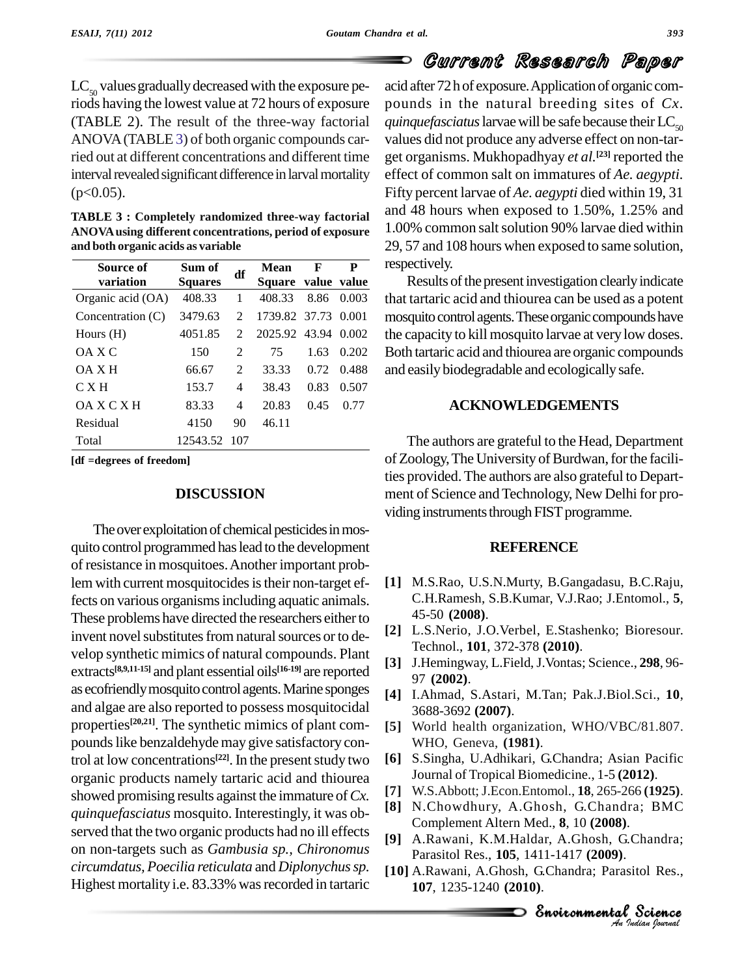$LC_{50}$  values gradually decreased with the exposure periods having the lowest value at 72 hours of exposure (TABLE 2). The result of the three-way factorial ANOVA (TABLE 3) of both organic compounds carried out at different concentrations and different time interval revealed significant difference in larval mortality  $(p<0.05)$ .

**TABLE 3 : Completely randomized three-way factorial ANOVAusing different concentrations, period of exposure and both organic acids as variable**

| Source of         | Sum of         | df             | Mean                | F    | P     | respe  |
|-------------------|----------------|----------------|---------------------|------|-------|--------|
| variation         | <b>Squares</b> |                | Square value value  |      |       | F      |
| Organic acid (OA) | 408.33         | 1              | 408.33              | 8.86 | 0.003 | that t |
| Concentration (C) | 3479.63        | $\mathfrak{D}$ | 1739.82 37.73       |      | 0.001 | mosc   |
| Hours $(H)$       | 4051.85        | $\mathfrak{D}$ | 2025.92 43.94 0.002 |      |       | the c  |
| OA X C            | 150            | 2              | 75                  | 1.63 | 0.202 | Both   |
| OA X H            | 66.67          | 2              | 33.33               | 0.72 | 0.488 | and e  |
| C X H             | 153.7          | 4              | 38.43               | 0.83 | 0.507 |        |
| OAXCXH            | 83.33          | 4              | 20.83               | 0.45 | 0.77  |        |
| Residual          | 4150           | 90             | 46.11               |      |       |        |
| Total             | 12543.52 107   |                |                     |      |       |        |

**[df =degrees of freedom]**

### **DISCUSSION**

The over exploitation of chemical pesticides in mosquito control programmed haslead to the development of resistance in mosquitoes.Another important problem with current mosquitocides is their non-target effects on various organisms including aquatic animals. These problems have directed the researchers either to invent novel substitutes from natural sources or to develop synthetic mimics of natural compounds. Plant  $extracts<sup>[8,9,11-15]</sup>$  and plant essential oils<sup>[16-19]</sup> are reported as ecofriendly mosquito control agents. Marine sponges and algae are also reported to possess mosquitocidal properties<sup>[20,21]</sup>. The synthetic mimics of plant compounds like benzaldehyde may give satisfactory control at low concentrations<sup>[22]</sup>. In the present study two  $\begin{bmatrix} 6 \end{bmatrix}$  S. organic products namely tartaric acid and thiourea showed promising results against the immature of*Cx. quinquefasciatus* mosquito. Interestingly, it was ob served that the two organic products had no ill effects on non-targets such as *Gambusia sp., Chironomus circumdatus, Poecilia reticulata* and *Diplonychussp.* Highest mortality i.e. 83.33% was recorded in tartaric

Current Research Paper O acid after 72 h of exposure. Application of organic compounds in the natural breeding sites of *Cx. quinquefasciatus* larvae will be safe because their  $LC_{50}$ values did not produce any adverse effect on non-tar get organisms. Mukhopadhyay *et al.* **[23]** reported the effect of common salton immatures of *Ae. aegypti.* Fifty percent larvae of *Ae. aegypti* died within 19, 31 and 48 hours when exposed to 1.50%, 1.25% and 1.00% common saltsolution 90% larvae died within 29, 57 and 108 hours when exposed to same solution,  $\overline{\mathbf{P}}$  respectively.

Results of the present investigation clearly indicate that tartaric acid and thiourea can be used as a potent mosquito control agents. These organic compounds have the capacity to kill mosquito larvae at very low doses. Both tartaric acid and thiourea are organic compounds and easilybiodegradable and ecologicallysafe.

## **ACKNOWLEDGEMENTS**

The authors are grateful to the Head, Department of Zoology, The University of Burdwan, for the facilities provided.The authors are also grateful to Depart ment of Science and Technology, New Delhi for providing instruments through FIST programme.

#### **REFERENCE**

- **[1]** M.S.Rao, U.S.N.Murty, B.Gangadasu, B.C.Raju, C.H.Ramesh, S.B.Kumar, V.J.Rao; J.Entomol., **5**, 45-50 **(2008)**.
- **[2]** L.S.Nerio, J.O.Verbel, E.Stashenko; Bioresour. Technol., **101**, 372-378 **(2010)**.
- **[3]** J.Hemingway, L.Field,J.Vontas; Science., **298**, 96- 97 **(2002)**.
- **[4]** I.Ahmad, S.Astari, M.Tan; Pak.J.Biol.Sci., **10**, 3688-3692 **(2007)**.
- **[5]** World health organization, WHO/VBC/81.807. WHO, Geneva, **(1981)**.
- **[6]** S.Singha, U.Adhikari, G.Chandra; Asian Pacific Journal of Tropical Biomedicine., 1-5 **(2012)**.
- **[7]** W.S.Abbott;J.Econ.Entomol., **18**, 265-266 **(1925)**.
- *An*Complement Altern Med., **8**, 10 **(2008)**. [8] N.Chowdhury, A.Ghosh, G.Chandra; BMC<br>Complement Altern Med. 8, 10 (2008)
- **[9]** A.Rawani, K.M.Haldar, A.Ghosh, G.Chandra; Parasitol Res., **105**, 1411-1417 **(2009)**.
- *I*. Chandra;<br>*Sitol Res.*,<br>Procession<br>*Indian Iournal* a; BMC<br>Chandra;<br>tol Res.,<br>Science **[10]** A.Rawani, A.Ghosh, G.Chandra; Parasitol Res., **107**, 1235-1240 **(2010)**.